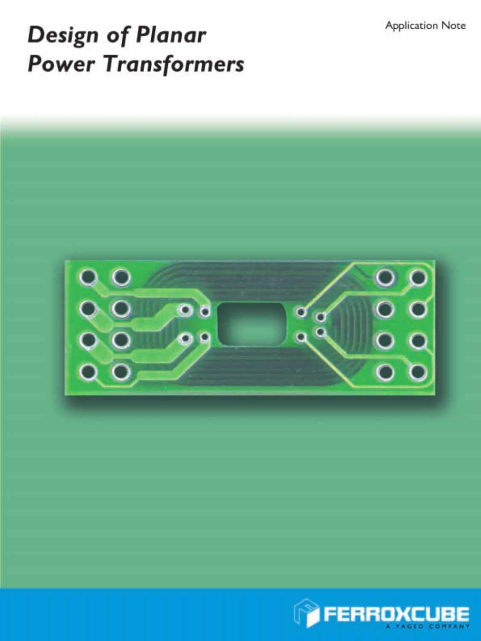**Application Note** 

# **Design of Planar Power Transformers**



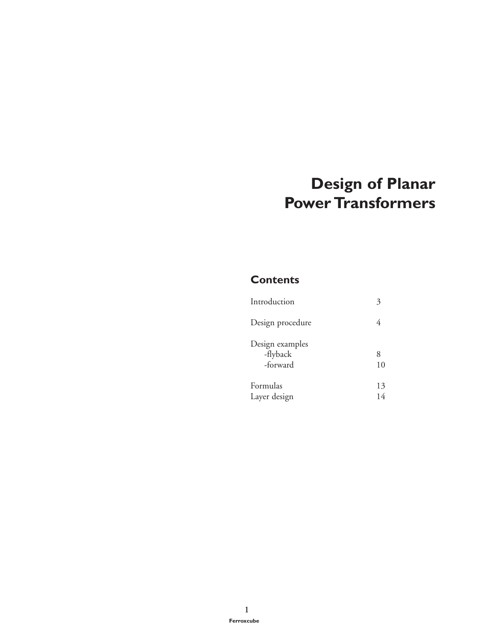# **Design of Planar Power Transformers**

#### **Contents**

| Introduction                            |          |
|-----------------------------------------|----------|
| Design procedure                        |          |
| Design examples<br>-flyback<br>-forward | 8<br>10  |
| Formulas<br>Layer design                | 13<br>14 |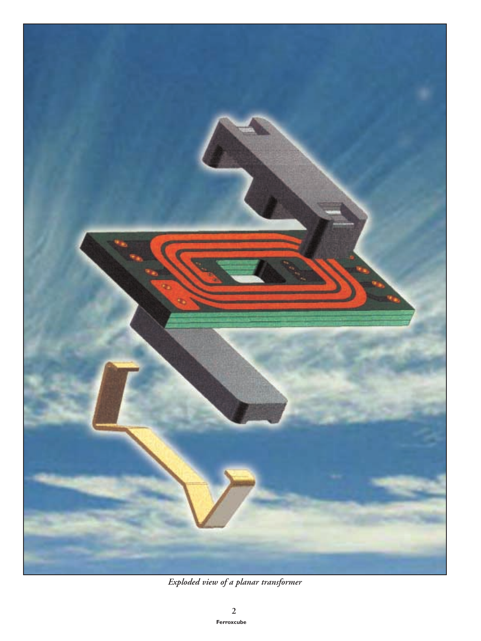

*Exploded view of a planar transformer*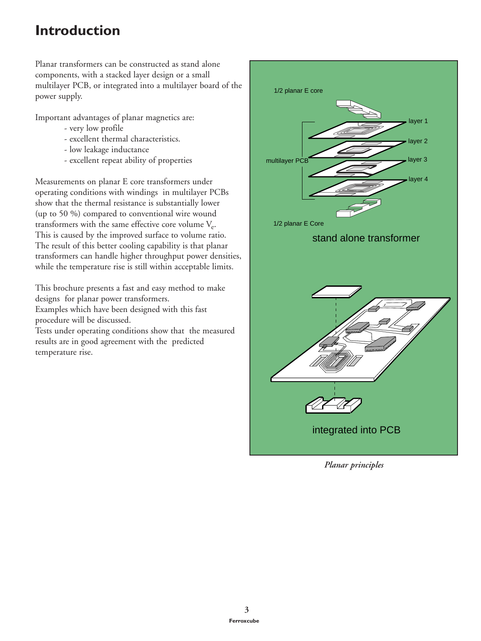# **Introduction**

Planar transformers can be constructed as stand alone components, with a stacked layer design or a small multilayer PCB, or integrated into a multilayer board of the power supply.

Important advantages of planar magnetics are:

- very low profile
- excellent thermal characteristics.
- low leakage inductance
- excellent repeat ability of properties

Measurements on planar E core transformers under operating conditions with windings in multilayer PCBs show that the thermal resistance is substantially lower (up to 50 %) compared to conventional wire wound transformers with the same effective core volume  $V_{e}$ . This is caused by the improved surface to volume ratio. The result of this better cooling capability is that planar transformers can handle higher throughput power densities, while the temperature rise is still within acceptable limits.

This brochure presents a fast and easy method to make designs for planar power transformers. Examples which have been designed with this fast

procedure will be discussed.

Tests under operating conditions show that the measured results are in good agreement with the predicted temperature rise.



*Planar principles*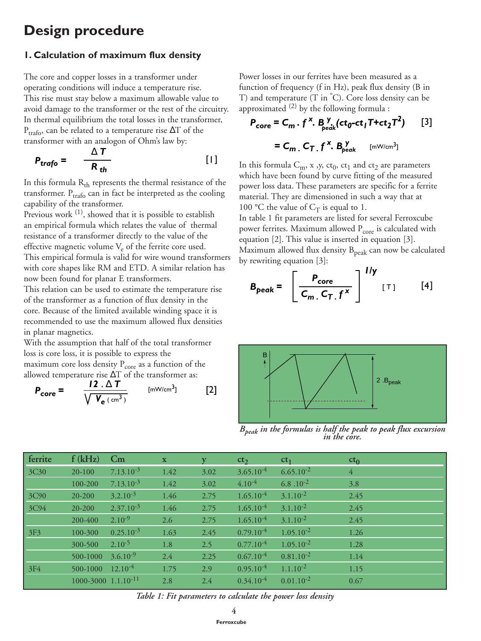## **Design procedure**

#### **1. Calculation of maximum flux density**

The core and copper losses in a transformer under operating conditions will induce a temperature rise. This rise must stay below a maximum allowable value to avoid damage to the transformer or the rest of the circuitry. In thermal equilibrium the total losses in the transformer,  $P_{trafo}$ , can be related to a temperature rise  $\Delta T$  of the transformer with an analogon of Ohm's law by:

$$
P_{trafo} = \frac{\Delta T}{R_{th}} \tag{1}
$$

In this formula  $R_{th}$  represents the thermal resistance of the transformer.  $P_{trafo}$  can in fact be interpreted as the cooling capability of the transformer.

Previous work <sup>(1)</sup>, showed that it is possible to establish an empirical formula which relates the value of thermal resistance of a transformer directly to the value of the effective magnetic volume  $V_e$  of the ferrite core used. This empirical formula is valid for wire wound transformers with core shapes like RM and ETD. A similar relation has now been found for planar E transformers.

This relation can be used to estimate the temperature rise of the transformer as a function of flux density in the core. Because of the limited available winding space it is recommended to use the maximum allowed flux densities in planar magnetics.

With the assumption that half of the total transformer loss is core loss, it is possible to express the maximum core loss density  $P_{core}$  as a function of the allowed temperature rise ∆T of the transformer as:

$$
P_{\text{core}} = \frac{12 \cdot \Delta T}{\sqrt{V_{\text{e}} (\text{cm}^3)}}
$$
 [mW/cm<sup>3</sup>] [2]

Power losses in our ferrites have been measured as a function of frequency (f in Hz), peak flux density (B in T) and temperature (T in ° C). Core loss density can be approximated  $(2)$  by the following formula :

$$
P_{\text{core}} = C_m \cdot f^X \cdot B_{\text{peak}}^Y (\text{ct}_0 - \text{ct}_1 \text{T} + \text{ct}_2 \text{T}^2) \qquad [3]
$$

$$
= C_m \cdot C_T \cdot f^X \cdot B_{\text{peak}}^Y \qquad [\text{mW/cm}^3]
$$

In this formula  $C_m$ , x, y, ct<sub>0</sub>, ct<sub>1</sub> and ct<sub>2</sub> are parameters which have been found by curve fitting of the measured power loss data. These parameters are specific for a ferrite material. They are dimensioned in such a way that at 100 °C the value of  $C_T$  is equal to 1.

In table 1 fit parameters are listed for several Ferroxcube power ferrites. Maximum allowed  $P_{\text{core}}$  is calculated with equation [2]. This value is inserted in equation [3]. Maximum allowed flux density  $B_{peak}$  can now be calculated by rewriting equation [3]:

$$
B_{peak} = \left[\frac{P_{core}}{C_m \cdot C_T \cdot f^{\times}}\right]^{1/y} \quad \text{[1]} \tag{4}
$$



*Bpeak in the formulas is half the peak to peak flux excursion in the core.*

| ferrite          | f(kHz)                                | $\mathbf{C}\mathbf{m}$ | $\mathbf{X}$ |      | ct <sub>2</sub> | ct <sub>1</sub> | $ct_0$         |
|------------------|---------------------------------------|------------------------|--------------|------|-----------------|-----------------|----------------|
| 3C <sub>30</sub> | $20-100$                              | $7.13.10^{-3}$         | 1.42         | 3.02 | $3.65.10^{-4}$  | $6.65.10^{-2}$  | $\overline{4}$ |
|                  | 100-200                               | $7.13.10^{-3}$         | 1.42         | 3.02 | $4.10^{-4}$     | 6.8.10 $^{-2}$  | 3.8            |
| 3C90             | $20 - 200$                            | $3.2.10^{-3}$          | 1.46         | 2.75 | $1.65.10^{-4}$  | $3.1.10^{-2}$   | 2.45           |
| 3C94             | 20-200                                | $2.37.10^{-3}$         | 1.46         | 2.75 | $1.65.10^{-4}$  | $3.1.10^{-2}$   | 2.45           |
|                  | 200-400                               | $2.10^{-9}$            | 2.6          | 2.75 | $1.65.10^{-4}$  | $3.1.10^{-2}$   | 2.45           |
| 3F3              | 100-300                               | $0.25.10^{-3}$         | 1.63         | 2.45 | $0.79.10^{-4}$  | $1.05.10^{-2}$  | 1.26           |
|                  | 300-500                               | $2.10^{-5}$            | 1.8          | 2.5  | $0.77.10^{-4}$  | $1.05.10^{-2}$  | 1.28           |
|                  | 500-1000                              | $3.6.10^{-9}$          | 2.4          | 2.25 | $0.67.10^{-4}$  | $0.81.10^{-2}$  | 1.14           |
| 3F4              | 500-1000                              | $12.10^{-4}$           | 1.75         | 2.9  | $0.95.10^{-4}$  | $1.1.10^{-2}$   | 1.15           |
|                  | $1000 - 3000$ $1.1.10$ <sup>-11</sup> |                        | 2.8          | 2.4  | $0.34.10^{-4}$  | $0.01.10^{-2}$  | 0.67           |

*Table 1: Fit parameters to calculate the power loss density*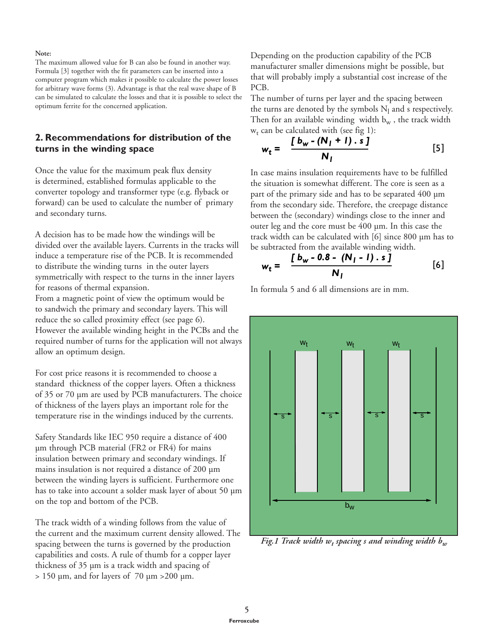#### **Note:**

The maximum allowed value for B can also be found in another way. Formula [3] together with the fit parameters can be inserted into a computer program which makes it possible to calculate the power losses for arbitrary wave forms (3). Advantage is that the real wave shape of B can be simulated to calculate the losses and that it is possible to select the optimum ferrite for the concerned application.

#### **2. Recommendations for distribution of the turns in the winding space**

Once the value for the maximum peak flux density is determined, established formulas applicable to the converter topology and transformer type (e.g. flyback or forward) can be used to calculate the number of primary and secondary turns.

A decision has to be made how the windings will be divided over the available layers. Currents in the tracks will induce a temperature rise of the PCB. It is recommended to distribute the winding turns in the outer layers symmetrically with respect to the turns in the inner layers for reasons of thermal expansion.

From a magnetic point of view the optimum would be to sandwich the primary and secondary layers. This will reduce the so called proximity effect (see page 6). However the available winding height in the PCBs and the required number of turns for the application will not always allow an optimum design.

For cost price reasons it is recommended to choose a standard thickness of the copper layers. Often a thickness of 35 or 70 µm are used by PCB manufacturers. The choice of thickness of the layers plays an important role for the temperature rise in the windings induced by the currents.

Safety Standards like IEC 950 require a distance of 400 µm through PCB material (FR2 or FR4) for mains insulation between primary and secondary windings. If mains insulation is not required a distance of 200 µm between the winding layers is sufficient. Furthermore one has to take into account a solder mask layer of about 50 µm on the top and bottom of the PCB.

The track width of a winding follows from the value of the current and the maximum current density allowed. The spacing between the turns is governed by the production capabilities and costs. A rule of thumb for a copper layer thickness of 35 µm is a track width and spacing of  $> 150$  µm, and for layers of 70 µm  $>200$  µm.

Depending on the production capability of the PCB manufacturer smaller dimensions might be possible, but that will probably imply a substantial cost increase of the PCB.

The number of turns per layer and the spacing between the turns are denoted by the symbols  $N_l$  and s respectively. Then for an available winding width  $b_w$ , the track width  $w_t$  can be calculated with (see fig 1):

$$
w_t = \frac{[b_w - (N_l + l) . \ \tilde{s} ]}{N_l}
$$
 [5]

In case mains insulation requirements have to be fulfilled the situation is somewhat different. The core is seen as a part of the primary side and has to be separated 400 µm from the secondary side. Therefore, the creepage distance between the (secondary) windings close to the inner and outer leg and the core must be 400 µm. In this case the track width can be calculated with [6] since 800 µm has to be subtracted from the available winding width.

$$
w_{t} = \frac{[b_{w} - 0.8 - (N_{1} - 1) \cdot s]}{N_{1}}
$$
 [6]

In formula 5 and 6 all dimensions are in mm.



*Fig.1 Track width wt spacing s and winding width bw*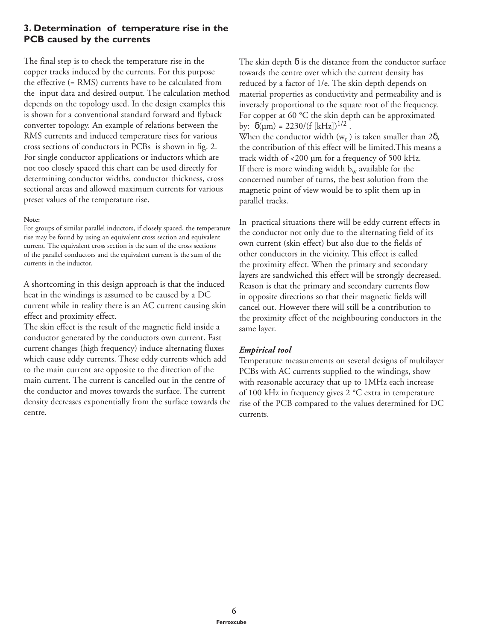#### **3. Determination of temperature rise in the PCB caused by the currents**

The final step is to check the temperature rise in the copper tracks induced by the currents. For this purpose the effective (= RMS) currents have to be calculated from the input data and desired output. The calculation method depends on the topology used. In the design examples this is shown for a conventional standard forward and flyback converter topology. An example of relations between the RMS currents and induced temperature rises for various cross sections of conductors in PCBs is shown in fig. 2. For single conductor applications or inductors which are not too closely spaced this chart can be used directly for determining conductor widths, conductor thickness, cross sectional areas and allowed maximum currents for various preset values of the temperature rise.

#### **Note:**

For groups of similar parallel inductors, if closely spaced, the temperature rise may be found by using an equivalent cross section and equivalent current. The equivalent cross section is the sum of the cross sections of the parallel conductors and the equivalent current is the sum of the currents in the inductor.

A shortcoming in this design approach is that the induced heat in the windings is assumed to be caused by a DC current while in reality there is an AC current causing skin effect and proximity effect.

The skin effect is the result of the magnetic field inside a conductor generated by the conductors own current. Fast current changes (high frequency) induce alternating fluxes which cause eddy currents. These eddy currents which add to the main current are opposite to the direction of the main current. The current is cancelled out in the centre of the conductor and moves towards the surface. The current density decreases exponentially from the surface towards the centre.

The skin depth  $\delta$  is the distance from the conductor surface towards the centre over which the current density has reduced by a factor of 1/e. The skin depth depends on material properties as conductivity and permeability and is inversely proportional to the square root of the frequency. For copper at 60 °C the skin depth can be approximated by:  $\delta(\mu m) = 2230/(f [kHz])^{1/2}$ . When the conductor width  $(w_t)$  is taken smaller than 2 $\delta$ , the contribution of this effect will be limited.This means a track width of <200 µm for a frequency of 500 kHz. If there is more winding width  $b_w$  available for the concerned number of turns, the best solution from the magnetic point of view would be to split them up in parallel tracks.

In practical situations there will be eddy current effects in the conductor not only due to the alternating field of its own current (skin effect) but also due to the fields of other conductors in the vicinity. This effect is called the proximity effect. When the primary and secondary layers are sandwiched this effect will be strongly decreased. Reason is that the primary and secondary currents flow in opposite directions so that their magnetic fields will cancel out. However there will still be a contribution to the proximity effect of the neighbouring conductors in the same layer.

#### *Empirical tool*

Temperature measurements on several designs of multilayer PCBs with AC currents supplied to the windings, show with reasonable accuracy that up to 1MHz each increase of 100 kHz in frequency gives 2 °C extra in temperature rise of the PCB compared to the values determined for DC currents.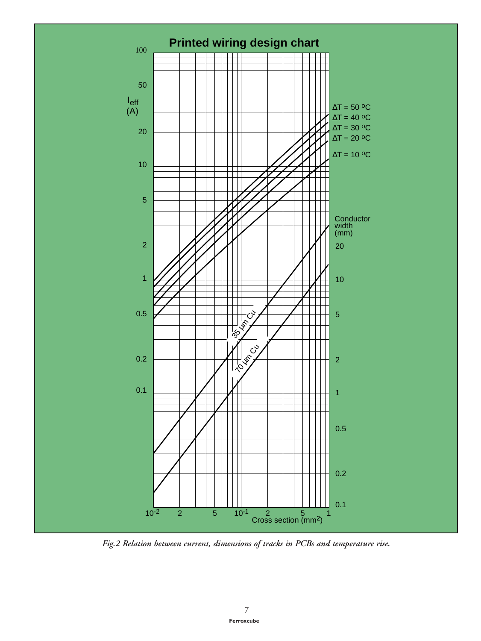

*Fig.2 Relation between current, dimensions of tracks in PCBs and temperature rise.*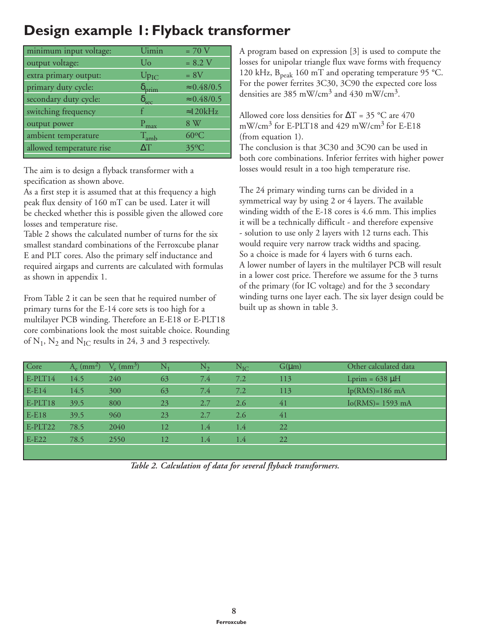# **Design example 1: Flyback transformer**

| minimum input voltage:   | Uimin               | $= 70$ V           |
|--------------------------|---------------------|--------------------|
| output voltage:          | Uo                  | $= 8.2 V$          |
| extra primary output:    | $Up_{IC}$           | $= 8V$             |
| primary duty cycle:      | $\delta_{\rm prim}$ | $\approx 0.48/0.5$ |
| secondary duty cycle:    | $\delta_{\rm sec}$  | $\approx 0.48/0.5$ |
| switching frequency      |                     | $\approx$ 120kHz   |
| output power             | $P_{\text{max}}$    | 8 W                |
| ambient temperature      | $\rm T_{amb}$       | $60^{\circ}$ C     |
| allowed temperature rise | $\Lambda$ T         | $35^{\circ}$ C     |
|                          |                     |                    |

The aim is to design a flyback transformer with a specification as shown above.

As a first step it is assumed that at this frequency a high peak flux density of 160 mT can be used. Later it will be checked whether this is possible given the allowed core losses and temperature rise.

Table 2 shows the calculated number of turns for the six smallest standard combinations of the Ferroxcube planar E and PLT cores. Also the primary self inductance and required airgaps and currents are calculated with formulas as shown in appendix 1.

From Table 2 it can be seen that he required number of primary turns for the E-14 core sets is too high for a multilayer PCB winding. Therefore an E-E18 or E-PLT18 core combinations look the most suitable choice. Rounding of  $N_1$ ,  $N_2$  and  $N_{IC}$  results in 24, 3 and 3 respectively.

A program based on expression [3] is used to compute the losses for unipolar triangle flux wave forms with frequency 120 kHz,  $B_{peak}$  160 mT and operating temperature 95 °C. For the power ferrites 3C30, 3C90 the expected core loss densities are 385 mW/cm3 and 430 mW/cm3.

Allowed core loss densities for  $\Delta T = 35$  °C are 470 mW/cm<sup>3</sup> for E-PLT18 and 429 mW/cm<sup>3</sup> for E-E18 (from equation 1).

The conclusion is that 3C30 and 3C90 can be used in both core combinations. Inferior ferrites with higher power losses would result in a too high temperature rise.

The 24 primary winding turns can be divided in a symmetrical way by using 2 or 4 layers. The available winding width of the E-18 cores is 4.6 mm. This implies it will be a technically difficult - and therefore expensive - solution to use only 2 layers with 12 turns each. This would require very narrow track widths and spacing. So a choice is made for 4 layers with 6 turns each. A lower number of layers in the multilayer PCB will result in a lower cost price. Therefore we assume for the 3 turns of the primary (for IC voltage) and for the 3 secondary winding turns one layer each. The six layer design could be built up as shown in table 3.

| Core      | $A_{\circ}$ (mm <sup>2</sup> ) | $V_e$ (mm <sup>2</sup> ) |    | $N_{\gamma}$ | $N_{IC}$ | $G(\mu m)$ | Other calculated data |
|-----------|--------------------------------|--------------------------|----|--------------|----------|------------|-----------------------|
| $E-PLT14$ | 14.5                           | 240                      | 63 | 7.4          | 7.2      | 113        | Lprim = $638 \mu H$   |
| $E-E14$   | 14.5                           | 300                      | 63 | 7.4          | 7.2      | 113        | $Ip(RMS)=186 mA$      |
| $E-PLT18$ | 39.5                           | 800                      | 23 | 2.7          | 2.6      | 41         | $Io(RMS) = 1593$ mA   |
| E-E18     | 39.5                           | 960                      | 23 | 2.7          | 2.6      | 41         |                       |
| E-PLT22   | 78.5                           | 2040                     | 12 | 1.4          | 1.4      | 22         |                       |
| $E$ -E22  | 78.5                           | 2550                     | 12 | 1.4          | 1.4      | 22         |                       |
|           |                                |                          |    |              |          |            |                       |

*Table 2. Calculation of data for several flyback transformers.*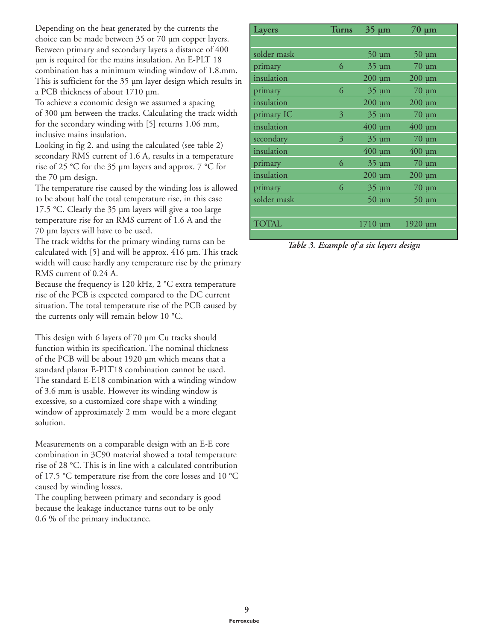Depending on the heat generated by the currents the choice can be made between 35 or 70 µm copper layers. Between primary and secondary layers a distance of 400 µm is required for the mains insulation. An E-PLT 18 combination has a minimum winding window of 1.8.mm. This is sufficient for the 35 µm layer design which results in a PCB thickness of about 1710 µm.

To achieve a economic design we assumed a spacing of 300 µm between the tracks. Calculating the track width for the secondary winding with [5] returns 1.06 mm, inclusive mains insulation.

Looking in fig 2. and using the calculated (see table 2) secondary RMS current of 1.6 A, results in a temperature rise of 25 °C for the 35 µm layers and approx. 7 °C for the 70 um design.

The temperature rise caused by the winding loss is allowed to be about half the total temperature rise, in this case 17.5 °C. Clearly the 35 µm layers will give a too large temperature rise for an RMS current of 1.6 A and the 70 µm layers will have to be used.

The track widths for the primary winding turns can be calculated with [5] and will be approx. 416 µm. This track width will cause hardly any temperature rise by the primary RMS current of 0.24 A.

Because the frequency is 120 kHz, 2 °C extra temperature rise of the PCB is expected compared to the DC current situation. The total temperature rise of the PCB caused by the currents only will remain below 10 °C.

This design with 6 layers of 70 µm Cu tracks should function within its specification. The nominal thickness of the PCB will be about 1920 µm which means that a standard planar E-PLT18 combination cannot be used. The standard E-E18 combination with a winding window of 3.6 mm is usable. However its winding window is excessive, so a customized core shape with a winding window of approximately 2 mm would be a more elegant solution.

Measurements on a comparable design with an E-E core combination in 3C90 material showed a total temperature rise of 28 °C. This is in line with a calculated contribution of 17.5 °C temperature rise from the core losses and 10 °C caused by winding losses.

The coupling between primary and secondary is good because the leakage inductance turns out to be only 0.6 % of the primary inductance.

| Layers       | <b>Turns</b> | $35 \mu m$   | $70 \mu m$   |
|--------------|--------------|--------------|--------------|
|              |              |              |              |
| solder mask  |              | $50 \mu m$   | $50 \mu m$   |
| primary      | 6            | $35 \mu m$   | $70 \mu m$   |
| insulation   |              | $200 \mu m$  | $200 \mu m$  |
| primary      | 6            | $35 \mu m$   | $70 \mu m$   |
| insulation   |              | $200 \mu m$  | $200 \mu m$  |
| primary IC   | 3            | $35 \mu m$   | $70 \mu m$   |
| insulation   |              | $400 \mu m$  | $400 \mu m$  |
| secondary    | 3            | $35 \mu m$   | $70 \mu m$   |
| insulation   |              | $400 \mu m$  | $400 \mu m$  |
| primary      | 6            | $35 \mu m$   | $70 \mu m$   |
| insulation   |              | $200 \mu m$  | $200 \mu m$  |
| primary      | 6            | $35 \mu m$   | $70 \mu m$   |
| solder mask  |              | $50 \mu m$   | $50 \mu m$   |
|              |              |              |              |
| <b>TOTAL</b> |              | $1710 \mu m$ | $1920 \mu m$ |
|              |              |              |              |

*Table 3. Example of a six layers design*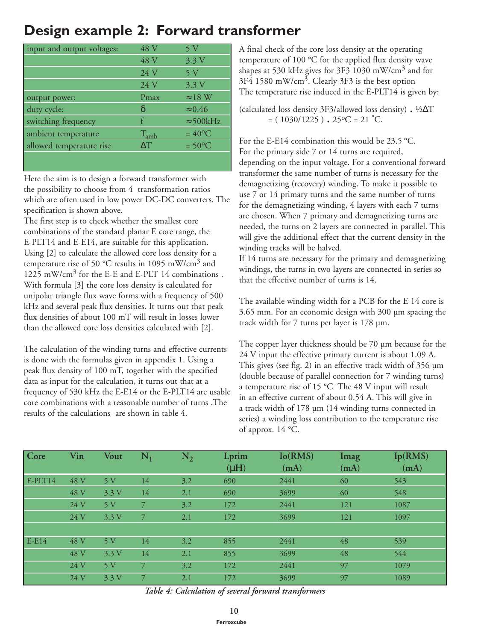## **Design example 2: Forward transformer**

| input and output voltages: | 48 V       | 5 V              |
|----------------------------|------------|------------------|
|                            | 48 V       | 3.3V             |
|                            | 24 V       | 5 V              |
|                            | 24 V       | 3.3V             |
| output power:              | Pmax       | $\approx$ 18 W   |
| duty cycle:                | δ          | $\approx 0.46$   |
| switching frequency        | £          | $\approx$ 500kHz |
| ambient temperature        | $T_{amb}$  | $=40^{\circ}C$   |
| allowed temperature rise   | $\Delta T$ | $=50^{\circ}$ C  |
|                            |            |                  |

Here the aim is to design a forward transformer with the possibility to choose from 4 transformation ratios which are often used in low power DC-DC converters. The specification is shown above.

The first step is to check whether the smallest core combinations of the standard planar E core range, the E-PLT14 and E-E14, are suitable for this application. Using [2] to calculate the allowed core loss density for a temperature rise of 50 °C results in 1095 mW/cm<sup>3</sup> and 1225 mW/cm<sup>3</sup> for the E-E and E-PLT 14 combinations. With formula [3] the core loss density is calculated for unipolar triangle flux wave forms with a frequency of 500 kHz and several peak flux densities. It turns out that peak flux densities of about 100 mT will result in losses lower than the allowed core loss densities calculated with [2].

The calculation of the winding turns and effective currents is done with the formulas given in appendix 1. Using a peak flux density of 100 mT, together with the specified data as input for the calculation, it turns out that at a frequency of 530 kHz the E-E14 or the E-PLT14 are usable core combinations with a reasonable number of turns .The results of the calculations are shown in table 4.

A final check of the core loss density at the operating temperature of 100 °C for the applied flux density wave shapes at 530 kHz gives for 3F3 1030 mW/cm3 and for 3F4 1580 mW/cm<sup>3</sup>. Clearly 3F3 is the best option The temperature rise induced in the E-PLT14 is given by:

(calculated loss density 3F3/allowed loss density) . <sup>½</sup>∆<sup>T</sup>  $= (1030/1225)$ .  $25^{\circ}$ C = 21  $^{\circ}$ C.

For the E-E14 combination this would be 23.5 °C. For the primary side 7 or 14 turns are required, depending on the input voltage. For a conventional forward transformer the same number of turns is necessary for the demagnetizing (recovery) winding. To make it possible to use 7 or 14 primary turns and the same number of turns for the demagnetizing winding, 4 layers with each 7 turns are chosen. When 7 primary and demagnetizing turns are needed, the turns on 2 layers are connected in parallel. This will give the additional effect that the current density in the winding tracks will be halved.

If 14 turns are necessary for the primary and demagnetizing windings, the turns in two layers are connected in series so that the effective number of turns is 14.

The available winding width for a PCB for the E 14 core is 3.65 mm. For an economic design with 300 µm spacing the track width for 7 turns per layer is 178 µm.

The copper layer thickness should be 70 µm because for the 24 V input the effective primary current is about 1.09 A. This gives (see fig. 2) in an effective track width of 356 µm (double because of parallel connection for 7 winding turns) a temperature rise of 15 °C The 48 V input will result in an effective current of about 0.54 A. This will give in a track width of 178 µm (14 winding turns connected in series) a winding loss contribution to the temperature rise of approx. 14 °C.

| Core      | Vin  | <b>Vout</b>    | $N_1$ | $\rm N_2$ | Lprim     | Io(RMS) | Imag | Ip(RMS) |
|-----------|------|----------------|-------|-----------|-----------|---------|------|---------|
|           |      |                |       |           | $(\mu H)$ | (mA)    | (mA) | (mA)    |
| $E-PLT14$ | 48 V | 5V             | 14    | 3.2       | 690       | 2441    | 60   | 543     |
|           | 48 V | 3.3V           | 14    | 2.1       | 690       | 3699    | 60   | 548     |
|           | 24 V | 5V             | 7     | 3.2       | 172       | 2441    | 121  | 1087    |
|           | 24 V | 3.3V           | 7     | 2.1       | 172       | 3699    | 121  | 1097    |
|           |      |                |       |           |           |         |      |         |
| $E-E14$   | 48 V | 5 <sub>V</sub> | 14    | 3.2       | 855       | 2441    | 48   | 539     |
|           | 48 V | 3.3V           | 14    | 2.1       | 855       | 3699    | 48   | 544     |
|           | 24 V | 5V             | 7     | 3.2       | 172       | 2441    | 97   | 1079    |
|           | 24 V | 3.3V           |       | 2.1       | 172       | 3699    | 97   | 1089    |

*Table 4: Calculation of several forward transformers*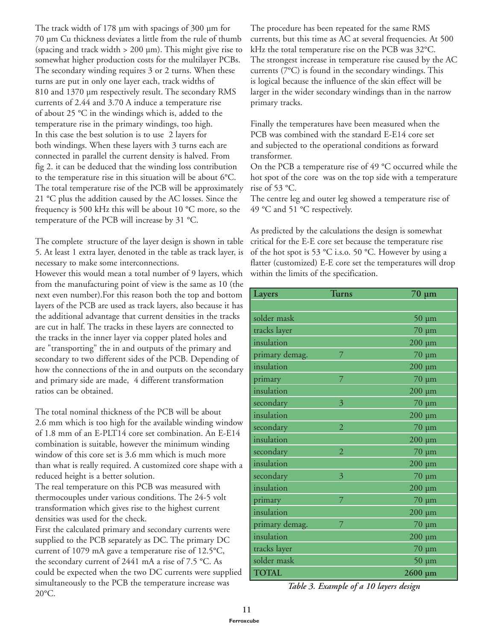The track width of 178 µm with spacings of 300 µm for 70 µm Cu thickness deviates a little from the rule of thumb (spacing and track width > 200 µm). This might give rise to somewhat higher production costs for the multilayer PCBs. The secondary winding requires 3 or 2 turns. When these turns are put in only one layer each, track widths of 810 and 1370 µm respectively result. The secondary RMS currents of 2.44 and 3.70 A induce a temperature rise of about 25 °C in the windings which is, added to the temperature rise in the primary windings, too high. In this case the best solution is to use 2 layers for both windings. When these layers with 3 turns each are connected in parallel the current density is halved. From fig 2. it can be deduced that the winding loss contribution to the temperature rise in this situation will be about 6°C. The total temperature rise of the PCB will be approximately 21 °C plus the addition caused by the AC losses. Since the frequency is 500 kHz this will be about 10 °C more, so the temperature of the PCB will increase by 31 °C.

The complete structure of the layer design is shown in table 5. At least 1 extra layer, denoted in the table as track layer, is necessary to make some interconnections.

However this would mean a total number of 9 layers, which from the manufacturing point of view is the same as 10 (the next even number).For this reason both the top and bottom layers of the PCB are used as track layers, also because it has the additional advantage that current densities in the tracks are cut in half. The tracks in these layers are connected to the tracks in the inner layer via copper plated holes and are "transporting" the in and outputs of the primary and secondary to two different sides of the PCB. Depending of how the connections of the in and outputs on the secondary and primary side are made, 4 different transformation ratios can be obtained.

The total nominal thickness of the PCB will be about 2.6 mm which is too high for the available winding window of 1.8 mm of an E-PLT14 core set combination. An E-E14 combination is suitable, however the minimum winding window of this core set is 3.6 mm which is much more than what is really required. A customized core shape with a reduced height is a better solution.

The real temperature on this PCB was measured with thermocouples under various conditions. The 24-5 volt transformation which gives rise to the highest current densities was used for the check.

First the calculated primary and secondary currents were supplied to the PCB separately as DC. The primary DC current of 1079 mA gave a temperature rise of 12.5°C, the secondary current of 2441 mA a rise of 7.5 °C. As could be expected when the two DC currents were supplied simultaneously to the PCB the temperature increase was 20°C.

The procedure has been repeated for the same RMS currents, but this time as AC at several frequencies. At 500 kHz the total temperature rise on the PCB was 32°C. The strongest increase in temperature rise caused by the AC currents (7°C) is found in the secondary windings. This is logical because the influence of the skin effect will be larger in the wider secondary windings than in the narrow primary tracks.

Finally the temperatures have been measured when the PCB was combined with the standard E-E14 core set and subjected to the operational conditions as forward transformer.

On the PCB a temperature rise of 49 °C occurred while the hot spot of the core was on the top side with a temperature rise of 53 °C.

The centre leg and outer leg showed a temperature rise of 49 °C and 51 °C respectively.

As predicted by the calculations the design is somewhat critical for the E-E core set because the temperature rise of the hot spot is 53 °C i.s.o. 50 °C. However by using a flatter (customized) E-E core set the temperatures will drop within the limits of the specification.

| Layers         | <b>Turns</b>   | $70 \mu m$   |
|----------------|----------------|--------------|
|                |                |              |
| solder mask    |                | $50 \mu m$   |
| tracks layer   |                | $70 \mu m$   |
| insulation     |                | $200 \mu m$  |
| primary demag. | 7              | $70 \mu m$   |
| insulation     |                | $200 \mu m$  |
| primary        | 7              | $70 \mu m$   |
| insulation     |                | $200 \mu m$  |
| secondary      | 3              | $70 \mu m$   |
| insulation     |                | $200 \mu m$  |
| secondary      | $\overline{2}$ | $70 \mu m$   |
| insulation     |                | $200 \mu m$  |
| secondary      | $\overline{2}$ | $70 \mu m$   |
| insulation     |                | $200 \mu m$  |
| secondary      | 3              | $70 \mu m$   |
| insulation     |                | $200 \mu m$  |
| primary        | 7              | $70 \mu m$   |
| insulation     |                | $200 \mu m$  |
| primary demag. | 7              | $70 \mu m$   |
| insulation     |                | $200 \mu m$  |
| tracks layer   |                | $70 \mu m$   |
| solder mask    |                | $50 \mu m$   |
| <b>TOTAL</b>   |                | $2600 \mu m$ |

*Table 3. Example of a 10 layers design*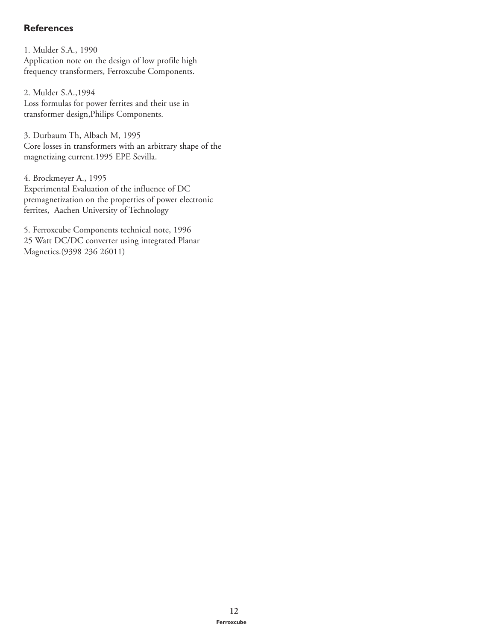#### **References**

1. Mulder S.A., 1990 Application note on the design of low profile high frequency transformers, Ferroxcube Components.

2. Mulder S.A.,1994 Loss formulas for power ferrites and their use in transformer design,Philips Components.

3. Durbaum Th, Albach M, 1995 Core losses in transformers with an arbitrary shape of the magnetizing current.1995 EPE Sevilla.

4. Brockmeyer A., 1995 Experimental Evaluation of the influence of DC premagnetization on the properties of power electronic ferrites, Aachen University of Technology

5. Ferroxcube Components technical note, 1996 25 Watt DC/DC converter using integrated Planar Magnetics.(9398 236 26011)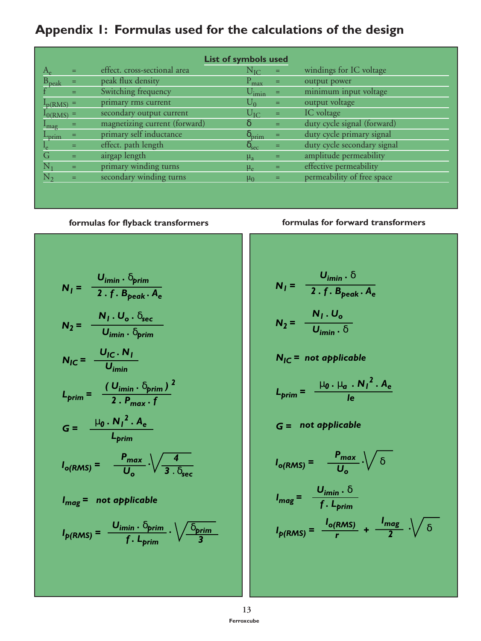# **Appendix 1: Formulas used for the calculations of the design**

|                             |          | <b>List of symbols used</b>   |                        |                |                             |
|-----------------------------|----------|-------------------------------|------------------------|----------------|-----------------------------|
|                             | Ξ        | effect. cross-sectional area  | $N_{\rm IO}$           | $=$            | windings for IC voltage     |
| $\rm B_{peak}$              | $\equiv$ | peak flux density             | $\rm P_{max}$          | $=$            | output power                |
|                             | $=$      | Switching frequency           | $U_{\text{imin}}$      | $\blacksquare$ | minimum input voltage       |
| $I_p(RMS)$ =                |          | primary rms current           | $U_0$                  | $=$            | output voltage              |
| $I_{0(RMS)} =$              |          | secondary output current      | $\cup_{\mathrm{IC}}$   | $=$            | IC voltage                  |
| $I_{mag}$                   | Ξ        | magnetizing current (forward) | δ                      | $=$            | duty cycle signal (forward) |
| $\mathcal{L}_{\text{prim}}$ | Ξ.       | primary self inductance       | $\delta_{\text{prim}}$ | $=$            | duty cycle primary signal   |
|                             | =        | effect. path length           | $\delta_{\text{sec}}$  | $=$            | duty cycle secondary signal |
| G                           | $=$      | airgap length                 | $\mu_{\rm a}$          | $=$            | amplitude permeability      |
|                             | =        | primary winding turns         | $\mu_e$                | =              | effective permeability      |
|                             | Ξ        | secondary winding turns       | $\mu_0$                |                | permeability of free space  |
|                             |          |                               |                        |                |                             |

$$
N_{l} = \frac{U_{imin} \cdot \delta_{prim}}{2 \cdot f \cdot B_{peak} \cdot A_{e}}
$$
\n
$$
N_{2} = \frac{N_{l} \cdot U_{o} \cdot \delta_{sec}}{U_{imin} \cdot \delta_{prim}}
$$
\n
$$
N_{IC} = \frac{U_{IC} \cdot N_{I}}{U_{imin}}
$$
\n
$$
L_{prim} = \frac{(U_{imin} \cdot \delta_{prim})^{2}}{2 \cdot P_{max} \cdot f}
$$
\n
$$
G = \frac{\mu_{0} \cdot N_{I}^{2} \cdot A_{e}}{L_{prim}}
$$
\n
$$
I_{o(RMS)} = \frac{P_{max}}{U_{o}} \cdot \sqrt{\frac{4}{3 \cdot \delta_{sec}}}
$$
\n
$$
I_{mag} = not applicable
$$
\n
$$
I_{p(RMS)} = \frac{U_{imin} \cdot \delta_{prim}}{f \cdot L_{prim}} \cdot \sqrt{\frac{\delta_{prim}}{3}}
$$

#### **formulas for flyback transformers formulas for forward transformers**

$$
N_{l} = \frac{U_{i\text{min}} \cdot \delta}{2 \cdot f \cdot B_{\text{peak}} \cdot A_{\text{e}}}
$$

$$
N_{2} = \frac{N_{l} \cdot U_{\text{o}}}{U_{\text{min}} \cdot \delta}
$$

$$
N_{IC} = not applicable
$$

$$
L_{\text{prim}} = \frac{\mu_0 \cdot \mu_a \cdot N_l^2 \cdot A_e}{I_e}
$$

$$
G =
$$
 not applicable

$$
I_{o(RMS)} = \frac{P_{max}}{U_o} \cdot \sqrt{\delta}
$$
  

$$
I_{mag} = \frac{U_{imin} \cdot \delta}{f \cdot L_{prim}}
$$
  

$$
I_{p(RMS)} = \frac{I_{o(RMS)}}{r} + \frac{I_{mag}}{2} \cdot \sqrt{\delta}
$$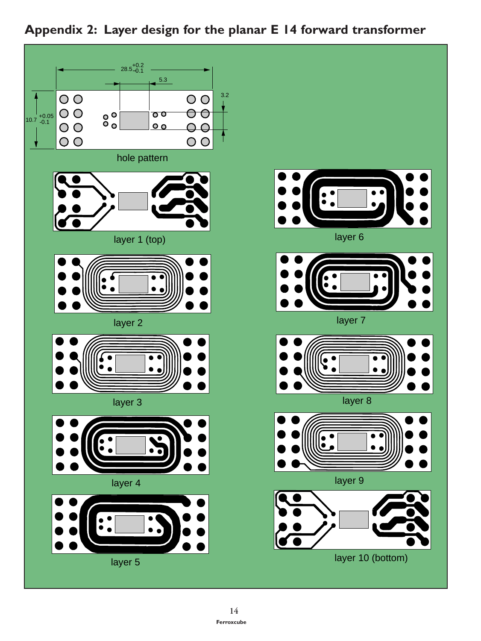